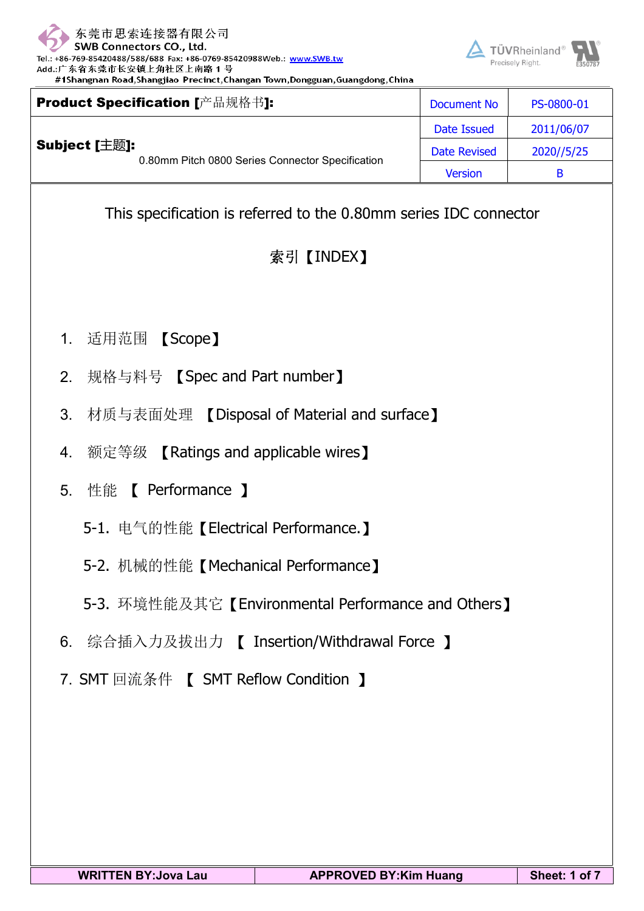

 $T$ ÜVPheinland<sup>®</sup>

| $5.000$ connections correction<br>+86-769-85420488/588/688 Fax: +86-0769-85420988Web.: www.SWB.tw<br>.:广东省东莞市长安镇上角社区上南路1号<br>#1Shangnan Road,Shangjiao Precinct,Changan Town,Dongguan,Guangdong,China |             | <b>EXAMPLE TO VERBEDIES OF LAW</b><br>Precisely Right. | E350787 |  |
|-------------------------------------------------------------------------------------------------------------------------------------------------------------------------------------------------------|-------------|--------------------------------------------------------|---------|--|
| oduct Specification [产品规格书]:                                                                                                                                                                          | Document No | PS-0800-01                                             |         |  |

|               | Product Specification [产品规格书]:                                    | <b>Document No</b>  | PS-0800-01 |
|---------------|-------------------------------------------------------------------|---------------------|------------|
|               |                                                                   | Date Issued         | 2011/06/07 |
| Subject [主题]: | 0.80mm Pitch 0800 Series Connector Specification                  | <b>Date Revised</b> | 2020//5/25 |
|               |                                                                   | <b>Version</b>      | B          |
|               | This specification is referred to the 0.80mm series IDC connector |                     |            |

# 索引【INDEX】

- 1. 适用范围 【Scope】
- 2. 规格与料号 【Spec and Part number】
- 3. 材质与表面处理 【Disposal of Material and surface】
- 4. 额定等级 【Ratings and applicable wires】
- 5. 性能 【 Performance 】
	- 5-1. 电气的性能【Electrical Performance.】
	- 5-2. 机械的性能【Mechanical Performance】
	- 5-3. 环境性能及其它【Environmental Performance and Others】
- 6. 综合插入力及拔出力 【 Insertion/Withdrawal Force 】
- 7. SMT 回流条件 【 SMT Reflow Condition 】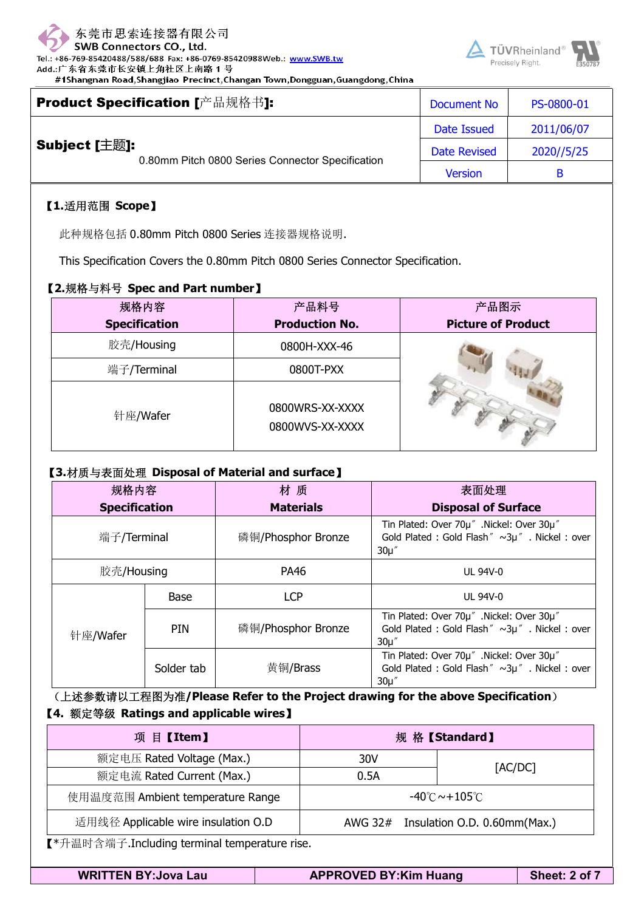

TÜVRheinland



|               | Product Specification [产品规格书]:                   | <b>Document No</b>  | PS-0800-01 |
|---------------|--------------------------------------------------|---------------------|------------|
|               |                                                  | Date Issued         | 2011/06/07 |
| Subject [主题]: | 0.80mm Pitch 0800 Series Connector Specification | <b>Date Revised</b> | 2020//5/25 |
|               |                                                  | <b>Version</b>      | В          |

### 【**1.**适用范围 **Scope**】

此种规格包括 0.80mm Pitch <sup>0800</sup> Series 连接器规格说明.

#1Shangnan Road, Shangjiao Precinct, Changan Town, Dongguan, Guangdong, China

This Specification Covers the 0.80mm Pitch <sup>0800</sup> Series Connector Specification.

#### 【**2.**规格与料号 **Spec and Part number**】

| 规格内容                 | 产品料号                               | 产品图示                      |
|----------------------|------------------------------------|---------------------------|
| <b>Specification</b> | <b>Production No.</b>              | <b>Picture of Product</b> |
| 胶壳/Housing           | 0800H-XXX-46                       |                           |
| 端子/Terminal          | 0800T-PXX                          |                           |
| 针座/Wafer             | 0800WRS-XX-XXXX<br>0800WVS-XX-XXXX |                           |

#### 【**3.**材质与表面处理 **Disposal of Material and surface**】

| 规格内容        |                      |            | 材质                 | 表面处理                                                                                                   |
|-------------|----------------------|------------|--------------------|--------------------------------------------------------------------------------------------------------|
|             | <b>Specification</b> |            | <b>Materials</b>   | <b>Disposal of Surface</b>                                                                             |
| 端子/Terminal |                      |            | 磷铜/Phosphor Bronze | Tin Plated: Over 70µ" .Nickel: Over 30µ"<br>Gold Plated : Gold Flash" ~3µ". Nickel : over<br>$30\mu''$ |
|             | 胶壳/Housing           |            | PA46               | <b>UL 94V-0</b>                                                                                        |
|             |                      | Base       | <b>LCP</b>         | <b>UL 94V-0</b>                                                                                        |
|             | 针座/Wafer             | <b>PIN</b> | 磷铜/Phosphor Bronze | Tin Plated: Over 70µ" .Nickel: Over 30µ"<br>Gold Plated : Gold Flash" ~3µ". Nickel : over<br>$30\mu''$ |
|             |                      | Solder tab | 黄铜/Brass           | Tin Plated: Over 70µ" .Nickel: Over 30µ"<br>Gold Plated : Gold Flash" ~3µ". Nickel : over<br>$30\mu$ " |

(上述参数请以工程图为准**/Please Refer to the Project drawing for the above Specification**) 【**4.** 额定等级 **Ratings and applicable wires**】

| 项目【Item】                                                                    | 规格【Standard】                             |         |  |  |  |
|-----------------------------------------------------------------------------|------------------------------------------|---------|--|--|--|
| 额定电压 Rated Voltage (Max.)                                                   | 30V                                      |         |  |  |  |
| 额定电流 Rated Current (Max.)                                                   | 0.5A                                     | [AC/DC] |  |  |  |
| 使用温度范围 Ambient temperature Range                                            | $-40^{\circ}$ C $\sim$ +105 $^{\circ}$ C |         |  |  |  |
| 适用线径 Applicable wire insulation O.D<br>AWG 32# Insulation O.D. 0.60mm(Max.) |                                          |         |  |  |  |
| 【*升温时含端子.Including terminal temperature rise.                               |                                          |         |  |  |  |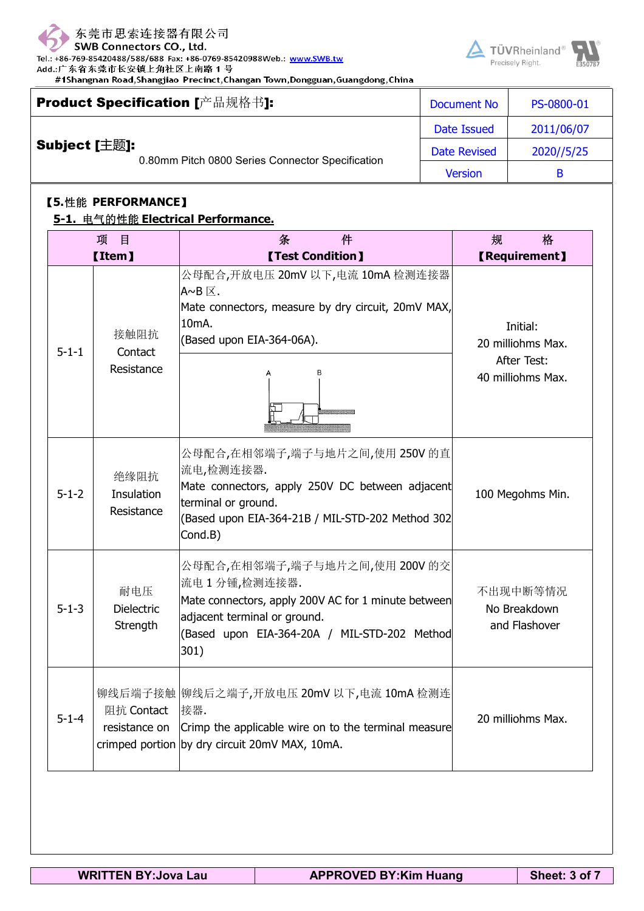

Tel.: +86-769-85420488/588/688 Fax: +86-0769-85420988Web.: www.SWB.tw

Add.:广东省东莞市长安镇上角社区上南路1号 #1Shangnan Road, Shangjiao Precinct, Changan Town, Dongguan, Guangdong, China



|               | Product Specification [产品规格书]:                   | Document No         | PS-0800-01 |
|---------------|--------------------------------------------------|---------------------|------------|
|               |                                                  | Date Issued         | 2011/06/07 |
| Subject [主题]: | 0.80mm Pitch 0800 Series Connector Specification | <b>Date Revised</b> | 2020//5/25 |
|               |                                                  | <b>Version</b>      | B          |

#### 【**5.**性能 **PERFORMANCE**】

#### **5-1.** 电气的性能 **Electrical Performance.**

|             | 目<br>项                               | 条<br>件                                                                                                                                                                                       | 规<br>格                                    |
|-------------|--------------------------------------|----------------------------------------------------------------------------------------------------------------------------------------------------------------------------------------------|-------------------------------------------|
|             | <b>【Item】</b>                        | <b>[Test Condition]</b>                                                                                                                                                                      | <b>【Requirement】</b>                      |
| $5 - 1 - 1$ | 接触阻抗<br>Contact                      | 公母配合,开放电压 20mV 以下,电流 10mA 检测连接器<br>lA~B ⊠.<br>Mate connectors, measure by dry circuit, 20mV MAX,<br>10 <sub>m</sub> A.<br>(Based upon EIA-364-06A).                                          | Initial:<br>20 milliohms Max.             |
|             | Resistance                           | B                                                                                                                                                                                            | <b>After Test:</b><br>40 milliohms Max.   |
| $5 - 1 - 2$ | 绝缘阻抗<br>Insulation<br>Resistance     | 公母配合,在相邻端子,端子与地片之间,使用 250V 的直<br>流电,检测连接器.<br>Mate connectors, apply 250V DC between adjacent<br>terminal or ground.<br>(Based upon EIA-364-21B / MIL-STD-202 Method 302<br>Cond.B)          | 100 Megohms Min.                          |
| $5 - 1 - 3$ | 耐电压<br><b>Dielectric</b><br>Strength | 公母配合,在相邻端子,端子与地片之间,使用 200V 的交<br>流电1分锺,检测连接器.<br>Mate connectors, apply 200V AC for 1 minute between<br>adjacent terminal or ground.<br>(Based upon EIA-364-20A / MIL-STD-202 Method<br>301) | 不出现中断等情况<br>No Breakdown<br>and Flashover |
| $5 - 1 - 4$ | 阻抗 Contact<br>resistance on          | 铆线后端子接触  铆线后之端子,开放电压 20mV 以下,电流 10mA 检测连<br>接器.<br>Crimp the applicable wire on to the terminal measure<br>crimped portion by dry circuit 20mV MAX, 10mA.                                    | 20 milliohms Max.                         |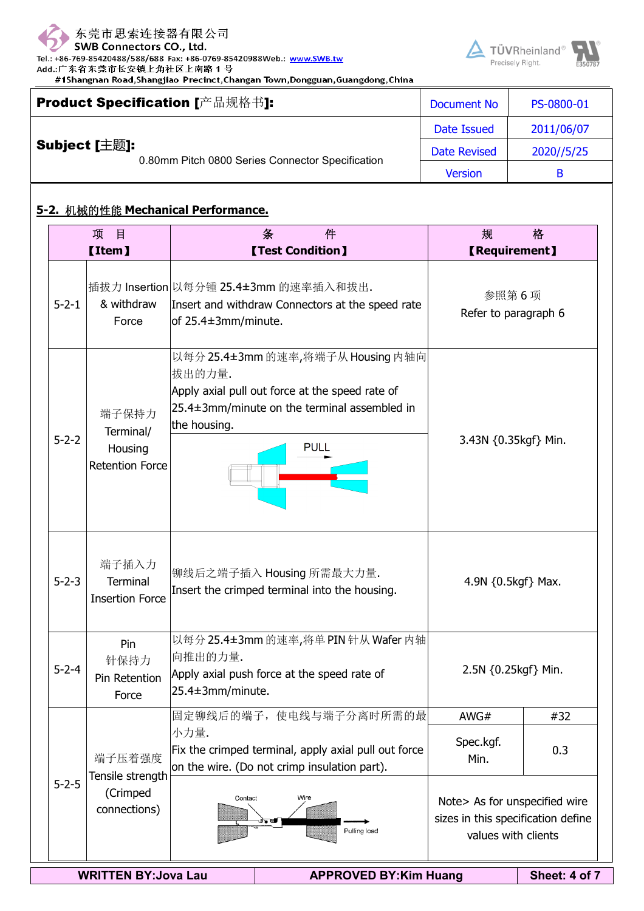

Tel.: +86-769-85420488/588/688 Fax: +86-0769-85420988Web.: www.SWB.tw Add.:广东省东莞市长安镇上角社区上南路1号

#1Shangnan Road, Shangjiao Precinct, Changan Town, Dongguan, Guangdong, China



|               | Product Specification [产品规格书]:                   | <b>Document No</b>  | PS-0800-01 |
|---------------|--------------------------------------------------|---------------------|------------|
|               |                                                  | Date Issued         | 2011/06/07 |
| Subject [主题]: | 0.80mm Pitch 0800 Series Connector Specification | <b>Date Revised</b> | 2020//5/25 |
|               |                                                  | <b>Version</b>      | B          |

### **5-2.** 机械的性能 **Mechanical Performance.**

|                                                             | 项<br>$\mathbf{H}$<br><b>[Item]</b>                      |                             | 条<br>件<br><b>[Test Condition]</b>                                                                                                               | 规<br><b>【Requirement】</b>                                                                          | 格             |  |
|-------------------------------------------------------------|---------------------------------------------------------|-----------------------------|-------------------------------------------------------------------------------------------------------------------------------------------------|----------------------------------------------------------------------------------------------------|---------------|--|
| $5 - 2 - 1$                                                 | & withdraw<br>Force                                     | of 25.4±3mm/minute.         | 插拔力 Insertion 以每分锺 25.4±3mm 的速率插入和拔出.<br>Insert and withdraw Connectors at the speed rate                                                       | 参照第6项<br>Refer to paragraph 6                                                                      |               |  |
| $5 - 2 - 2$                                                 | 端子保持力<br>Terminal/<br>Housing<br><b>Retention Force</b> | 拔出的力量.<br>the housing.      | 以每分25.4±3mm的速率,将端子从Housing内轴向<br>Apply axial pull out force at the speed rate of<br>25.4±3mm/minute on the terminal assembled in<br><b>PULL</b> | 3.43N {0.35kgf} Min.                                                                               |               |  |
| $5 - 2 - 3$                                                 | 端子插入力<br><b>Terminal</b><br><b>Insertion Force</b>      |                             | 铆线后之端子插入 Housing 所需最大力量.<br>Insert the crimped terminal into the housing.                                                                       | 4.9N $\{0.5\text{kgf}\}$ Max.                                                                      |               |  |
| $5 - 2 - 4$                                                 | Pin<br>针保持力<br>Pin Retention<br>Force                   | 向推出的力量.<br>25.4±3mm/minute. | 以每分25.4±3mm 的速率,将单PIN 针从 Wafer 内轴<br>Apply axial push force at the speed rate of                                                                | 2.5N {0.25kgf} Min.                                                                                |               |  |
|                                                             |                                                         | 小力量.                        | 固定铆线后的端子, 使电线与端子分离时所需的最<br>Fix the crimped terminal, apply axial pull out force                                                                 | AWG#<br>Spec.kgf.                                                                                  | #32<br>0.3    |  |
| $5 - 2 - 5$                                                 | 端子压着强度<br>Tensile strength<br>(Crimped<br>connections)  | Contact                     | on the wire. (Do not crimp insulation part).<br>Wire<br>心气<br>Pulling load                                                                      | Min.<br>Note> As for unspecified wire<br>sizes in this specification define<br>values with clients |               |  |
| <b>WRITTEN BY: Jova Lau</b><br><b>APPROVED BY:Kim Huang</b> |                                                         |                             |                                                                                                                                                 |                                                                                                    | Sheet: 4 of 7 |  |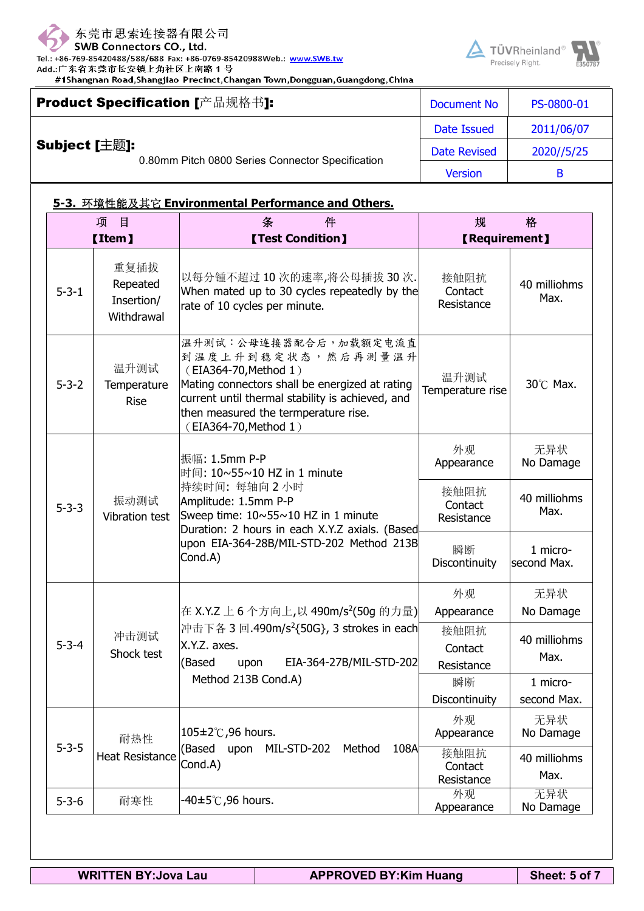

Tel.: +86-769-85420488/588/688 Fax: +86-0769-85420988Web.: www.SWB.tw Add.:广东省东莞市长安镇上角社区上南路1号

#1Shangnan Road, Shangjiao Precinct, Changan Town, Dongguan, Guangdong, China



|               | Product Specification [产品规格书]:                   | Document No         | PS-0800-01 |
|---------------|--------------------------------------------------|---------------------|------------|
|               |                                                  | Date Issued         | 2011/06/07 |
| Subject [主题]: | 0.80mm Pitch 0800 Series Connector Specification | <b>Date Revised</b> | 2020//5/25 |
|               |                                                  | <b>Version</b>      |            |

### **5-3.** 环境性能及其它 **Environmental Performance and Others.**

| 项<br>目      |                                              | 件<br>条                                                                                                                                                                                                                                      | 规                             | 格                       |
|-------------|----------------------------------------------|---------------------------------------------------------------------------------------------------------------------------------------------------------------------------------------------------------------------------------------------|-------------------------------|-------------------------|
|             | <b>[Item]</b>                                | <b>[Test Condition]</b>                                                                                                                                                                                                                     | <b>【Requirement】</b>          |                         |
| $5 - 3 - 1$ | 重复插拔<br>Repeated<br>Insertion/<br>Withdrawal | 以每分锺不超过10次的速率,将公母插拔30次.<br>When mated up to 30 cycles repeatedly by the<br>rate of 10 cycles per minute.                                                                                                                                    | 接触阻抗<br>Contact<br>Resistance | 40 milliohms<br>Max.    |
| $5 - 3 - 2$ | 温升测试<br>Temperature<br><b>Rise</b>           | 温升测试:公母连接器配合后,加载额定电流直<br>到温度上升到稳定状态,然后再测量温升<br>(EIA364-70, Method 1)<br>Mating connectors shall be energized at rating<br>current until thermal stability is achieved, and<br>then measured the termperature rise.<br>(EIA364-70, Method 1) | 温升测试<br>Temperature rise      | 30°C Max.               |
|             |                                              | 振幅: 1.5mm P-P<br>时间: 10~55~10 HZ in 1 minute                                                                                                                                                                                                | 外观<br>Appearance              | 无异状<br>No Damage        |
| $5 - 3 - 3$ | 振动测试<br>Vibration test                       | 持续时间: 每轴向2小时<br>Amplitude: 1.5mm P-P<br>Sweep time: 10~55~10 HZ in 1 minute                                                                                                                                                                 | 接触阻抗<br>Contact<br>Resistance | 40 milliohms<br>Max.    |
|             |                                              | Duration: 2 hours in each X.Y.Z axials. (Based<br>upon EIA-364-28B/MIL-STD-202 Method 213B<br>Cond.A)                                                                                                                                       | 瞬断<br>Discontinuity           | 1 micro-<br>second Max. |
|             |                                              |                                                                                                                                                                                                                                             | 外观                            | 无异状                     |
|             |                                              | 在 X.Y.Z 上 6 个方向上,以 490m/s <sup>2</sup> (50g 的力量)                                                                                                                                                                                            | Appearance                    | No Damage               |
| $5 - 3 - 4$ | 冲击测试<br>Shock test                           | 冲击下各 3回.490m/s <sup>2</sup> {50G}, 3 strokes in each<br>X.Y.Z. axes.<br>EIA-364-27B/MIL-STD-202<br>(Based<br>upon                                                                                                                           | 接触阻抗<br>Contact<br>Resistance | 40 milliohms<br>Max.    |
|             |                                              | Method 213B Cond.A)                                                                                                                                                                                                                         | 瞬断                            | 1 micro-                |
|             |                                              |                                                                                                                                                                                                                                             | Discontinuity                 | second Max.             |
|             | 105±2℃,96 hours.<br>耐热性                      |                                                                                                                                                                                                                                             | 外观<br>Appearance              | 无异状<br>No Damage        |
|             | $5 - 3 - 5$<br><b>Heat Resistance</b>        | (Based<br>MIL-STD-202<br>upon<br>Method<br>108A<br>Cond.A)                                                                                                                                                                                  | 接触阻抗<br>Contact<br>Resistance | 40 milliohms<br>Max.    |
| $5 - 3 - 6$ | 耐寒性                                          | -40±5℃,96 hours.                                                                                                                                                                                                                            | 外观<br>Appearance              | 无异状<br>No Damage        |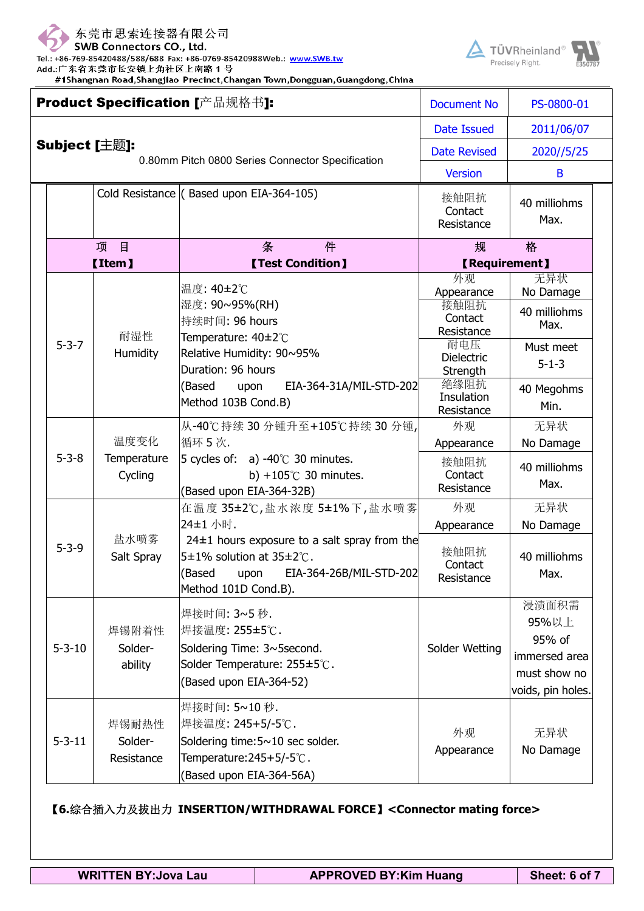

Tel.: +86-769-85420488/588/688 Fax: +86-0769-85420988Web.: www.SWB.tw

Add.:广东省东莞市长安镇上角社区上南路1号

#1Shangnan Road, Shangjiao Precinct, Changan Town, Dongguan, Guangdong, China





|  |               | Product Specification [产品规格书]: | <b>Document No</b>                                                                                                                                            | PS-0800-01                           |                                                                                |  |
|--|---------------|--------------------------------|---------------------------------------------------------------------------------------------------------------------------------------------------------------|--------------------------------------|--------------------------------------------------------------------------------|--|
|  |               |                                | <b>Date Issued</b>                                                                                                                                            | 2011/06/07                           |                                                                                |  |
|  | Subject [主题]: |                                | 0.80mm Pitch 0800 Series Connector Specification                                                                                                              | <b>Date Revised</b>                  | 2020//5/25                                                                     |  |
|  |               |                                |                                                                                                                                                               | <b>Version</b>                       | B                                                                              |  |
|  |               |                                | Cold Resistance ( Based upon EIA-364-105)                                                                                                                     | 接触阻抗<br>Contact<br>Resistance        | 40 milliohms<br>Max.                                                           |  |
|  | 目<br>项        |                                | 条<br>件                                                                                                                                                        | 规                                    | 格                                                                              |  |
|  |               | <b>[Item]</b>                  | <b>[Test Condition]</b>                                                                                                                                       | <b>【Requirement】</b>                 |                                                                                |  |
|  | $5 - 3 - 7$   | 耐湿性<br>Humidity                | 温度: 40±2℃<br> 湿度: 90~95%(RH)                                                                                                                                  | 外观<br>Appearance<br>接触阻抗<br>Contact  | 无异状<br>No Damage<br>40 milliohms                                               |  |
|  |               |                                | 持续时间: 96 hours<br>Temperature: 40±2°C                                                                                                                         | Resistance                           | Max.                                                                           |  |
|  |               |                                | Relative Humidity: 90~95%<br>Duration: 96 hours                                                                                                               | 耐电压<br><b>Dielectric</b><br>Strength | Must meet<br>$5 - 1 - 3$                                                       |  |
|  |               |                                | (Based<br>EIA-364-31A/MIL-STD-202<br>upon<br>Method 103B Cond.B)                                                                                              | 绝缘阻抗<br>Insulation<br>Resistance     | 40 Megohms<br>Min.                                                             |  |
|  | $5 - 3 - 8$   | 温度变化<br>Temperature<br>Cycling | 从-40℃持续 30 分锺升至+105℃持续 30 分锺,                                                                                                                                 | 外观                                   | 无异状                                                                            |  |
|  |               |                                | 循环 5次.                                                                                                                                                        | Appearance                           | No Damage                                                                      |  |
|  |               |                                | 5 cycles of:<br>a) -40 $\degree$ C 30 minutes.<br>b) +105 $\degree$ C 30 minutes.<br>(Based upon EIA-364-32B)                                                 | 接触阻抗<br>Contact<br>Resistance        | 40 milliohms<br>Max.                                                           |  |
|  |               | 盐水喷雾<br>Salt Spray             | 在温度 35±2℃,盐水浓度 5±1%下,盐水喷雾                                                                                                                                     | 外观                                   | 无异状                                                                            |  |
|  |               |                                | 24±1 小时.                                                                                                                                                      | Appearance                           | No Damage                                                                      |  |
|  | $5 - 3 - 9$   |                                | $24±1$ hours exposure to a salt spray from the<br>$5\pm1\%$ solution at 35 $\pm2\degree$ C.<br>upon EIA-364-26B/MIL-STD-202<br>(Based<br>Method 101D Cond.B). | 接触阻抗<br>Contact<br>Resistance        | 40 milliohms<br>Max.                                                           |  |
|  | $5 - 3 - 10$  | 焊锡附着性<br>Solder-<br>ability    | 焊接时间: 3~5 秒.<br> 焊接温度: 255±5℃.<br>Soldering Time: 3~5second.<br>Solder Temperature: 255±5℃.<br>(Based upon EIA-364-52)                                        | Solder Wetting                       | 浸渍面积需<br>95%以上<br>95% of<br>immersed area<br>must show no<br>voids, pin holes. |  |
|  | $5 - 3 - 11$  | 焊锡耐热性<br>Solder-<br>Resistance | 焊接时间: 5~10秒.<br> 焊接温度: 245+5/-5℃.<br>Soldering time: 5~10 sec solder.<br>Temperature: 245+5/-5°C.<br>(Based upon EIA-364-56A)                                 | 外观<br>Appearance                     | 无异状<br>No Damage                                                               |  |

【**6.**综合插入力及拔出力 **INSERTION/WITHDRAWAL FORCE**】**<Connector mating force>**